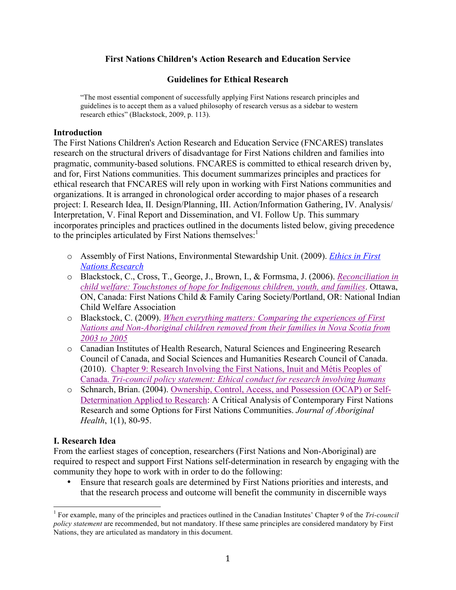### **First Nations Children's Action Research and Education Service**

### **Guidelines for Ethical Research**

"The most essential component of successfully applying First Nations research principles and guidelines is to accept them as a valued philosophy of research versus as a sidebar to western research ethics" (Blackstock, 2009, p. 113).

#### **Introduction**

The First Nations Children's Action Research and Education Service (FNCARES) translates research on the structural drivers of disadvantage for First Nations children and families into pragmatic, community-based solutions. FNCARES is committed to ethical research driven by, and for, First Nations communities. This document summarizes principles and practices for ethical research that FNCARES will rely upon in working with First Nations communities and organizations. It is arranged in chronological order according to major phases of a research project: I. Research Idea, II. Design/Planning, III. Action/Information Gathering, IV. Analysis/ Interpretation, V. Final Report and Dissemination, and VI. Follow Up. This summary incorporates principles and practices outlined in the documents listed below, giving precedence to the principles articulated by First Nations themselves:<sup>1</sup>

- o Assembly of First Nations, Environmental Stewardship Unit. (2009). *Ethics in First Nations Research*
- o Blackstock, C., Cross, T., George, J., Brown, I., & Formsma, J. (2006). *Reconciliation in child welfare: Touchstones of hope for Indigenous children, youth, and families*. Ottawa, ON, Canada: First Nations Child & Family Caring Society/Portland, OR: National Indian Child Welfare Association
- o Blackstock, C. (2009). *When everything matters: Comparing the experiences of First Nations and Non-Aboriginal children removed from their families in Nova Scotia from 2003 to 2005*
- o Canadian Institutes of Health Research, Natural Sciences and Engineering Research Council of Canada, and Social Sciences and Humanities Research Council of Canada. (2010). Chapter 9: Research Involving the First Nations, Inuit and Métis Peoples of Canada. *Tri-council policy statement: Ethical conduct for research involving humans*
- o Schnarch, Brian. (2004). Ownership, Control, Access, and Possession (OCAP) or Self-Determination Applied to Research: A Critical Analysis of Contemporary First Nations Research and some Options for First Nations Communities. *Journal of Aboriginal Health*, 1(1), 80-95.

### **I. Research Idea**

From the earliest stages of conception, researchers (First Nations and Non-Aboriginal) are required to respect and support First Nations self-determination in research by engaging with the community they hope to work with in order to do the following:

• Ensure that research goals are determined by First Nations priorities and interests, and that the research process and outcome will benefit the community in discernible ways

<sup>&</sup>lt;sup>1</sup> For example, many of the principles and practices outlined in the Canadian Institutes' Chapter 9 of the *Tri-council policy statement* are recommended, but not mandatory. If these same principles are considered mandatory by First Nations, they are articulated as mandatory in this document.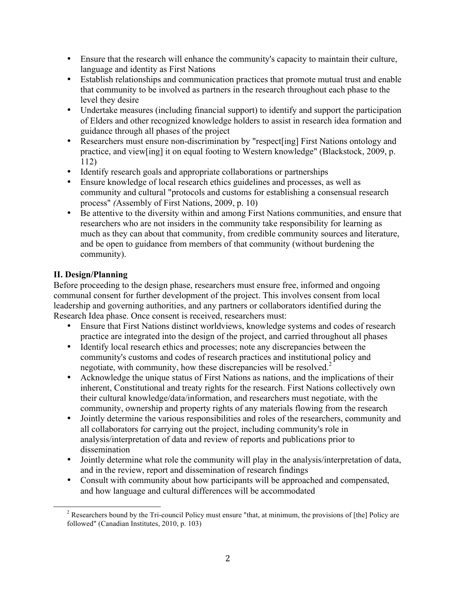- Ensure that the research will enhance the community's capacity to maintain their culture, language and identity as First Nations
- Establish relationships and communication practices that promote mutual trust and enable that community to be involved as partners in the research throughout each phase to the level they desire
- Undertake measures (including financial support) to identify and support the participation of Elders and other recognized knowledge holders to assist in research idea formation and guidance through all phases of the project
- Researchers must ensure non-discrimination by "respect [ing] First Nations ontology and practice, and view[ing] it on equal footing to Western knowledge" (Blackstock, 2009, p. 112)
- Identify research goals and appropriate collaborations or partnerships
- Ensure knowledge of local research ethics guidelines and processes, as well as community and cultural "protocols and customs for establishing a consensual research process" *(*Assembly of First Nations, 2009, p. 10)
- Be attentive to the diversity within and among First Nations communities, and ensure that researchers who are not insiders in the community take responsibility for learning as much as they can about that community, from credible community sources and literature, and be open to guidance from members of that community (without burdening the community).

# **II. Design/Planning**

Before proceeding to the design phase, researchers must ensure free, informed and ongoing communal consent for further development of the project. This involves consent from local leadership and governing authorities, and any partners or collaborators identified during the Research Idea phase. Once consent is received, researchers must:

- Ensure that First Nations distinct worldviews, knowledge systems and codes of research practice are integrated into the design of the project, and carried throughout all phases
- Identify local research ethics and processes; note any discrepancies between the community's customs and codes of research practices and institutional policy and negotiate, with community, how these discrepancies will be resolved. 2
- Acknowledge the unique status of First Nations as nations, and the implications of their inherent, Constitutional and treaty rights for the research. First Nations collectively own their cultural knowledge/data/information, and researchers must negotiate, with the community, ownership and property rights of any materials flowing from the research
- Jointly determine the various responsibilities and roles of the researchers, community and all collaborators for carrying out the project, including community's role in analysis/interpretation of data and review of reports and publications prior to dissemination
- Jointly determine what role the community will play in the analysis/interpretation of data, and in the review, report and dissemination of research findings
- Consult with community about how participants will be approached and compensated, and how language and cultural differences will be accommodated

<sup>&</sup>lt;sup>2</sup> Researchers bound by the Tri-council Policy must ensure "that, at minimum, the provisions of [the] Policy are followed" (Canadian Institutes, 2010, p. 103)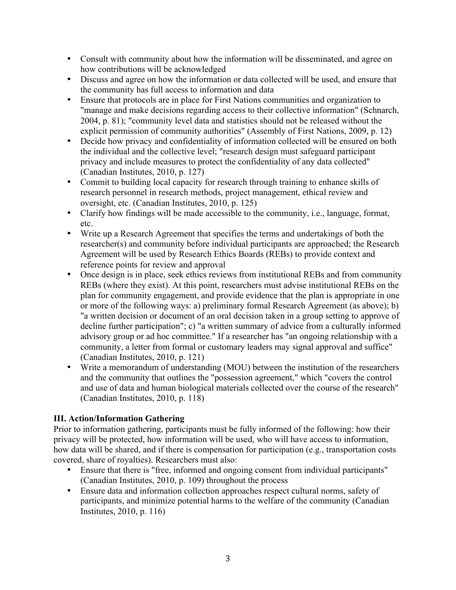- Consult with community about how the information will be disseminated, and agree on how contributions will be acknowledged
- Discuss and agree on how the information or data collected will be used, and ensure that the community has full access to information and data
- Ensure that protocols are in place for First Nations communities and organization to "manage and make decisions regarding access to their collective information" (Schnarch, 2004, p. 81); "community level data and statistics should not be released without the explicit permission of community authorities" (Assembly of First Nations, 2009, p. 12)
- Decide how privacy and confidentiality of information collected will be ensured on both the individual and the collective level; "research design must safeguard participant privacy and include measures to protect the confidentiality of any data collected" (Canadian Institutes, 2010, p. 127)
- Commit to building local capacity for research through training to enhance skills of research personnel in research methods, project management, ethical review and oversight, etc. (Canadian Institutes, 2010, p. 125)
- Clarify how findings will be made accessible to the community, i.e., language, format, etc.
- Write up a Research Agreement that specifies the terms and undertakings of both the researcher(s) and community before individual participants are approached; the Research Agreement will be used by Research Ethics Boards (REBs) to provide context and reference points for review and approval
- Once design is in place, seek ethics reviews from institutional REBs and from community REBs (where they exist). At this point, researchers must advise institutional REBs on the plan for community engagement, and provide evidence that the plan is appropriate in one or more of the following ways: a) preliminary formal Research Agreement (as above); b) "a written decision or document of an oral decision taken in a group setting to approve of decline further participation"; c) "a written summary of advice from a culturally informed advisory group or ad hoc committee." If a researcher has "an ongoing relationship with a community, a letter from formal or customary leaders may signal approval and suffice" (Canadian Institutes, 2010, p. 121)
- Write a memorandum of understanding (MOU) between the institution of the researchers and the community that outlines the "possession agreement," which "covers the control and use of data and human biological materials collected over the course of the research" (Canadian Institutes, 2010, p. 118)

## **III. Action/Information Gathering**

Prior to information gathering, participants must be fully informed of the following: how their privacy will be protected, how information will be used, who will have access to information, how data will be shared, and if there is compensation for participation (e.g., transportation costs covered, share of royalties). Researchers must also:

- Ensure that there is "free, informed and ongoing consent from individual participants" (Canadian Institutes, 2010, p. 109) throughout the process
- Ensure data and information collection approaches respect cultural norms, safety of participants, and minimize potential harms to the welfare of the community (Canadian Institutes, 2010, p. 116)